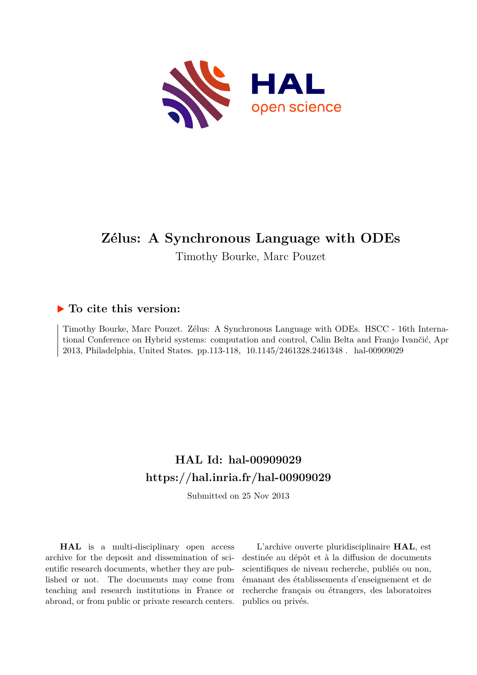

# **Zélus: A Synchronous Language with ODEs**

Timothy Bourke, Marc Pouzet

## **To cite this version:**

Timothy Bourke, Marc Pouzet. Zélus: A Synchronous Language with ODEs. HSCC - 16th International Conference on Hybrid systems: computation and control, Calin Belta and Franjo Ivančić, Apr 2013, Philadelphia, United States. pp.113-118, 10.1145/2461328.2461348. hal-00909029

## **HAL Id: hal-00909029 <https://hal.inria.fr/hal-00909029>**

Submitted on 25 Nov 2013

**HAL** is a multi-disciplinary open access archive for the deposit and dissemination of scientific research documents, whether they are published or not. The documents may come from teaching and research institutions in France or abroad, or from public or private research centers.

L'archive ouverte pluridisciplinaire **HAL**, est destinée au dépôt et à la diffusion de documents scientifiques de niveau recherche, publiés ou non, émanant des établissements d'enseignement et de recherche français ou étrangers, des laboratoires publics ou privés.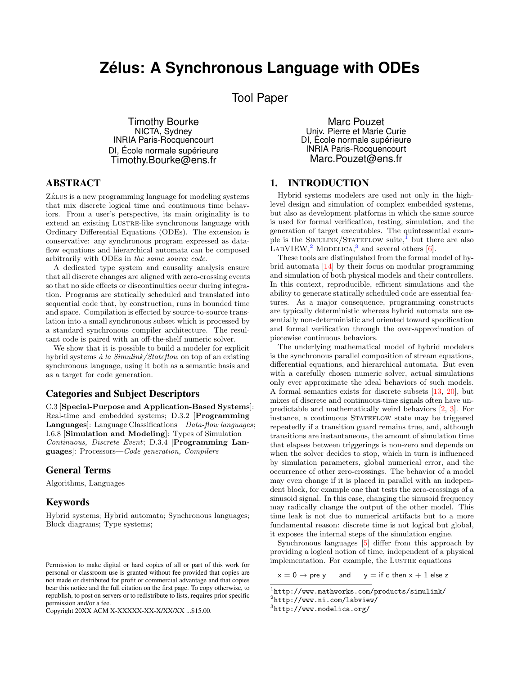## **Zélus: A Synchronous Language with ODEs**

Tool Paper

Timothy Bourke NICTA, Sydney INRIA Paris-Rocquencourt DI, École normale supérieure Timothy.Bourke@ens.fr

## ABSTRACT

ZÉLUS is a new programming language for modeling systems that mix discrete logical time and continuous time behaviors. From a user's perspective, its main originality is to extend an existing LUSTRE-like synchronous language with Ordinary Differential Equations (ODEs). The extension is conservative: any synchronous program expressed as dataflow equations and hierarchical automata can be composed arbitrarily with ODEs in the same source code.

A dedicated type system and causality analysis ensure that all discrete changes are aligned with zero-crossing events so that no side effects or discontinuities occur during integration. Programs are statically scheduled and translated into sequential code that, by construction, runs in bounded time and space. Compilation is effected by source-to-source translation into a small synchronous subset which is processed by a standard synchronous compiler architecture. The resultant code is paired with an off-the-shelf numeric solver.

We show that it is possible to build a modeler for explicit hybrid systems  $\dot{a}$  la Simulink/Stateflow on top of an existing synchronous language, using it both as a semantic basis and as a target for code generation.

## Categories and Subject Descriptors

C.3 [Special-Purpose and Application-Based Systems]: Real-time and embedded systems; D.3.2 [Programming Languages]: Language Classifications—*Data-flow languages*; I.6.8 [Simulation and Modeling]: Types of Simulation— Continuous, Discrete Event; D.3.4 [Programming Languages]: Processors—Code generation, Compilers

## General Terms

Algorithms, Languages

#### Keywords

Hybrid systems; Hybrid automata; Synchronous languages; Block diagrams; Type systems;

Copyright 20XX ACM X-XXXXX-XX-X/XX/XX ...\$15.00.

Marc Pouzet Univ. Pierre et Marie Curie DI, École normale supérieure INRIA Paris-Rocquencourt Marc.Pouzet@ens.fr

## 1. INTRODUCTION

Hybrid systems modelers are used not only in the highlevel design and simulation of complex embedded systems, but also as development platforms in which the same source is used for formal verification, testing, simulation, and the generation of target executables. The quintessential exam-ple is the SIMULINK/STATEFLOW suite,<sup>[1](#page-1-0)</sup> but there are also LABVIEW,<sup>[2](#page-1-1)</sup> MODELICA,<sup>[3](#page-1-2)</sup> and several others [\[6\]](#page-6-0).

These tools are distinguished from the formal model of hybrid automata [\[14\]](#page-6-1) by their focus on modular programming and simulation of both physical models and their controllers. In this context, reproducible, efficient simulations and the ability to generate statically scheduled code are essential features. As a major consequence, programming constructs are typically deterministic whereas hybrid automata are essentially non-deterministic and oriented toward specification and formal verification through the over-approximation of piecewise continuous behaviors.

The underlying mathematical model of hybrid modelers is the synchronous parallel composition of stream equations, differential equations, and hierarchical automata. But even with a carefully chosen numeric solver, actual simulations only ever approximate the ideal behaviors of such models. A formal semantics exists for discrete subsets [\[13,](#page-6-2) [20\]](#page-6-3), but mixes of discrete and continuous-time signals often have unpredictable and mathematically weird behaviors [\[2,](#page-6-4) [3\]](#page-6-5). For instance, a continuous STATEFLOW state may be triggered repeatedly if a transition guard remains true, and, although transitions are instantaneous, the amount of simulation time that elapses between triggerings is non-zero and depends on when the solver decides to stop, which in turn is influenced by simulation parameters, global numerical error, and the occurrence of other zero-crossings. The behavior of a model may even change if it is placed in parallel with an independent block, for example one that tests the zero-crossings of a sinusoid signal. In this case, changing the sinusoid frequency may radically change the output of the other model. This time leak is not due to numerical artifacts but to a more fundamental reason: discrete time is not logical but global, it exposes the internal steps of the simulation engine.

Synchronous languages [\[5\]](#page-6-6) differ from this approach by providing a logical notion of time, independent of a physical implementation. For example, the LUSTRE equations

 $x = 0 \rightarrow$  pre y and  $y =$  if c then  $x + 1$  else z

Permission to make digital or hard copies of all or part of this work for personal or classroom use is granted without fee provided that copies are not made or distributed for profit or commercial advantage and that copies bear this notice and the full citation on the first page. To copy otherwise, to republish, to post on servers or to redistribute to lists, requires prior specific permission and/or a fee.

<span id="page-1-0"></span><sup>1</sup> <http://www.mathworks.com/products/simulink/>

<span id="page-1-1"></span><sup>2</sup> <http://www.ni.com/labview/>

<span id="page-1-2"></span><sup>3</sup> <http://www.modelica.org/>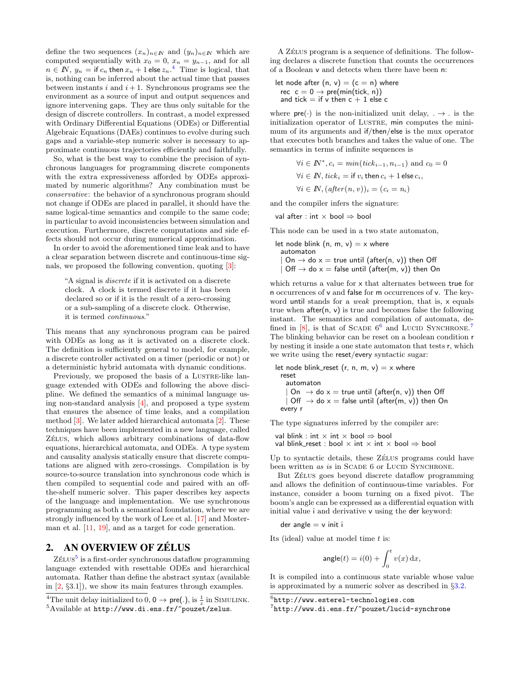define the two sequences  $(x_n)_{n\in\mathbb{N}}$  and  $(y_n)_{n\in\mathbb{N}}$  which are computed sequentially with  $x_0 = 0$ ,  $x_n = y_{n-1}$ , and for all  $n \in \mathbb{N}$ ,  $y_n = \text{if } c_n \text{ then } x_n + 1 \text{ else } z_n$ .<sup>[4](#page-2-0)</sup> Time is logical, that is, nothing can be inferred about the actual time that passes between instants i and  $i + 1$ . Synchronous programs see the environment as a source of input and output sequences and ignore intervening gaps. They are thus only suitable for the design of discrete controllers. In contrast, a model expressed with Ordinary Differential Equations (ODEs) or Differential Algebraic Equations (DAEs) continues to evolve during such gaps and a variable-step numeric solver is necessary to approximate continuous trajectories efficiently and faithfully.

So, what is the best way to combine the precision of synchronous languages for programming discrete components with the extra expressiveness afforded by ODEs approximated by numeric algorithms? Any combination must be conservative: the behavior of a synchronous program should not change if ODEs are placed in parallel, it should have the same logical-time semantics and compile to the same code; in particular to avoid inconsistencies between simulation and execution. Furthermore, discrete computations and side effects should not occur during numerical approximation.

In order to avoid the aforementioned time leak and to have a clear separation between discrete and continuous-time signals, we proposed the following convention, quoting [\[3\]](#page-6-5):

"A signal is discrete if it is activated on a discrete clock. A clock is termed discrete if it has been declared so or if it is the result of a zero-crossing or a sub-sampling of a discrete clock. Otherwise, it is termed continuous."

This means that any synchronous program can be paired with ODEs as long as it is activated on a discrete clock. The definition is sufficiently general to model, for example, a discrete controller activated on a timer (periodic or not) or a deterministic hybrid automata with dynamic conditions.

Previously, we proposed the basis of a LUSTRE-like language extended with ODEs and following the above discipline. We defined the semantics of a minimal language using non-standard analysis [\[4\]](#page-6-7), and proposed a type system that ensures the absence of time leaks, and a compilation method [\[3\]](#page-6-5). We later added hierarchical automata [\[2\]](#page-6-4). These techniques have been implemented in a new language, called ZÉLUS, which allows arbitrary combinations of data-flow equations, hierarchical automata, and ODEs. A type system and causality analysis statically ensure that discrete computations are aligned with zero-crossings. Compilation is by source-to-source translation into synchronous code which is then compiled to sequential code and paired with an offthe-shelf numeric solver. This paper describes key aspects of the language and implementation. We use synchronous programming as both a semantical foundation, where we are strongly influenced by the work of Lee et al. [\[17\]](#page-6-8) and Mosterman et al. [\[11,](#page-6-9) [19\]](#page-6-10), and as a target for code generation.

## 2. AN OVERVIEW OF ZÉLUS

 $Z \&Lus^5$  $Z \&Lus^5$  is a first-order synchronous dataflow programming language extended with resettable ODEs and hierarchical automata. Rather than define the abstract syntax (available in [\[2,](#page-6-4) §3.1]), we show its main features through examples.

```
{}^5http://www.di.ens.fr/~pouzet/zelus.
```
A ZÉLUS program is a sequence of definitions. The following declares a discrete function that counts the occurrences of a Boolean v and detects when there have been n:

```
let node after (n, v) = (c = n) where
 rec c = 0 \rightarrow pre(min(tick, n))and tick = if v then c + 1 else c
```
where  $pre(\cdot)$  is the non-initialized unit delay,  $\rightarrow$  is the initialization operator of LUSTRE, min computes the minimum of its arguments and if/then/else is the mux operator that executes both branches and takes the value of one. The semantics in terms of infinite sequences is

$$
\forall i \in \mathbb{N}^*, c_i = \min(\text{tick}_{i-1}, n_{i-1}) \text{ and } c_0 = 0
$$
  

$$
\forall i \in \mathbb{N}, \text{tick}_i = \text{if } v_i \text{ then } c_i + 1 \text{ else } c_i,
$$
  

$$
\forall i \in \mathbb{N}, (\text{after}(n, v))_i = (c_i = n_i)
$$

and the compiler infers the signature:

val after : int  $\times$  bool  $\Rightarrow$  bool

This node can be used in a two state automaton,

let node blink  $(n, m, v) = x$  where automaton  $On \rightarrow do x = true$  until (after(n, v)) then Off Off  $\rightarrow$  do x = false until (after(m, v)) then On

which returns a value for x that alternates between true for n occurrences of v and false for m occurrences of v. The keyword until stands for a weak preemption, that is, x equals true when  $after(n, v)$  is true and becomes false the following instant. The semantics and compilation of automata, defined in  $[8]$ , is that of SCADE  $6^6$  $6^6$  and LUCID SYNCHRONE.<sup>[7](#page-2-3)</sup> The blinking behavior can be reset on a boolean condition r by nesting it inside a one state automaton that tests r, which we write using the reset/every syntactic sugar:

```
let node blink reset (r, n, m, v) = \times where
 reset
   automaton
     On \rightarrow do x = true until (after(n, v)) then Off
     Off \rightarrow do x = false until (after(m, v)) then On
 every r
```
The type signatures inferred by the compiler are:

```
val blink : int \times int \times bool \Rightarrow bool
val blink_reset : bool \times int \times int \times bool \Rightarrow bool
```
Up to syntactic details, these ZÉLUS programs could have been written  $as$  is in SCADE 6 or LUCID SYNCHRONE.

But ZÉLUS goes beyond discrete dataflow programming and allows the definition of continuous-time variables. For instance, consider a boom turning on a fixed pivot. The boom's angle can be expressed as a differential equation with initial value i and derivative v using the der keyword:

der angle  $=$  v init i

Its (ideal) value at model time  $t$  is:

$$
\text{angle}(t) = i(0) + \int_0^t v(x) \, \mathrm{d}x,
$$

It is compiled into a continuous state variable whose value is approximated by a numeric solver as described in §[3.2.](#page-5-0)

<span id="page-2-0"></span><sup>&</sup>lt;sup>4</sup>The unit delay initialized to 0,  $0 \rightarrow \text{pre}(.),$  is  $\frac{1}{z}$  in SIMULINK.

<span id="page-2-2"></span> $^6$ <http://www.esterel-technologies.com>

<span id="page-2-3"></span><sup>7</sup> <http://www.di.ens.fr/~pouzet/lucid-synchrone>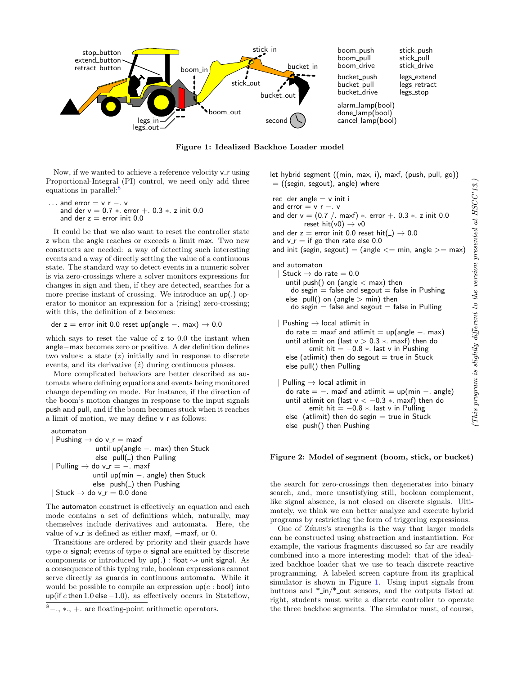

<span id="page-3-1"></span>Figure 1: Idealized Backhoe Loader model

Now, if we wanted to achieve a reference velocity  $v$ <sub>r</sub> using Proportional-Integral (PI) control, we need only add three equations in parallel: $\frac{8}{3}$  $\frac{8}{3}$  $\frac{8}{3}$ 

 $\ldots$  and error = v\_r –. v and der  $v = 0.7$   $*$ . error  $+$ . 0.3  $*$ . z init 0.0 and der  $z =$  error init  $0.0$ 

It could be that we also want to reset the controller state z when the angle reaches or exceeds a limit max. Two new constructs are needed: a way of detecting such interesting events and a way of directly setting the value of a continuous state. The standard way to detect events in a numeric solver is via zero-crossings where a solver monitors expressions for changes in sign and then, if they are detected, searches for a more precise instant of crossing. We introduce an up(.) operator to monitor an expression for a (rising) zero-crossing; with this, the definition of z becomes:

der z = error init 0.0 reset up(angle –. max)  $\rightarrow$  0.0

which says to reset the value of z to 0.0 the instant when angle−max becomes zero or positive. A der definition defines two values: a state  $(z)$  initially and in response to discrete events, and its derivative  $(\dot{z})$  during continuous phases.

More complicated behaviors are better described as automata where defining equations and events being monitored change depending on mode. For instance, if the direction of the boom's motion changes in response to the input signals push and pull, and if the boom becomes stuck when it reaches a limit of motion, we may define  $v_r$  as follows:

```
automaton
| Pushing \rightarrow do v_r = maxf
               until up(angle −. max) then Stuck
               else pull(\_ ) then Pulling
| Pulling \rightarrow do v_r = -. maxf
              until up(min –. angle) then Stuck
              else push(\_) then Pushing
| Stuck \rightarrow do v<sub>-</sub>r = 0.0 done
```
The automaton construct is effectively an equation and each mode contains a set of definitions which, naturally, may themselves include derivatives and automata. Here, the value of v\_r is defined as either maxf, -maxf, or 0.

Transitions are ordered by priority and their guards have type  $\alpha$  signal; events of type  $\alpha$  signal are emitted by discrete components or introduced by  $up(.)$ : float  $\rightsquigarrow$  unit signal. As a consequence of this typing rule, boolean expressions cannot serve directly as guards in continuous automata. While it would be possible to compile an expression  $\mathsf{up}(e : \mathsf{bool})$  into up(if e then  $1.0$  else  $-1.0$ ), as effectively occurs in Stateflow,

let hybrid segment ((min, max, i), maxf, (push, pull, go))  $=$  ((segin, segout), angle) where rec der angle  $=$  v init i and error  $= v_r - v$ and der  $v = (0.7 / \text{ maxf}) *$ . error + 0.3 \* z init 0.0 reset hit(v0)  $\rightarrow$  v0

and der  $z =$  error init 0.0 reset hit( $z = 0.0$ and  $v_r =$  if go then rate else 0.0

and init (segin, segout) = (angle  $<=$  min, angle  $>=$  max)

#### and automaton

| Stuck  $\rightarrow$  do rate = 0.0 until push() on (angle  $<$  max) then do segin  $=$  false and segout  $=$  false in Pushing else pull() on (angle  $>$  min) then  $do$  segin  $=$  false and segout  $=$  false in Pulling

| Pushing  $\rightarrow$  local atlimit in do rate = maxf and atlimit = up(angle  $-$ . max) until atlimit on (last  $v > 0.3$  \* maxf) then do emit hit  $= -0.8$  ∗. last v in Pushing else (atlimit) then do segout  $=$  true in Stuck else pull() then Pulling | Pulling  $\rightarrow$  local atlimit in

do rate  $= -$ . maxf and atlimit  $=$  up(min  $-$ . angle) until atlimit on (last  $v < -0.3$  ∗. maxf) then do emit hit  $= -0.8$  \*. last v in Pulling else (atlimit) then do segin  $=$  true in Stuck else push() then Pushing

<span id="page-3-2"></span>Figure 2: Model of segment (boom, stick, or bucket)

the search for zero-crossings then degenerates into binary search, and, more unsatisfying still, boolean complement, like signal absence, is not closed on discrete signals. Ultimately, we think we can better analyze and execute hybrid programs by restricting the form of triggering expressions.

One of ZÉLUS's strengths is the way that larger models can be constructed using abstraction and instantiation. For example, the various fragments discussed so far are readily combined into a more interesting model: that of the idealized backhoe loader that we use to teach discrete reactive programming. A labeled screen capture from its graphical simulator is shown in Figure [1.](#page-3-1) Using input signals from buttons and  $\text{*}$ -in/ $\text{*}$ -out sensors, and the outputs listed at right, students must write a discrete controller to operate the three backhoe segments. The simulator must, of course,

<span id="page-3-0"></span> $8$  –.,  $*$ .,  $+$ . are floating-point arithmetic operators.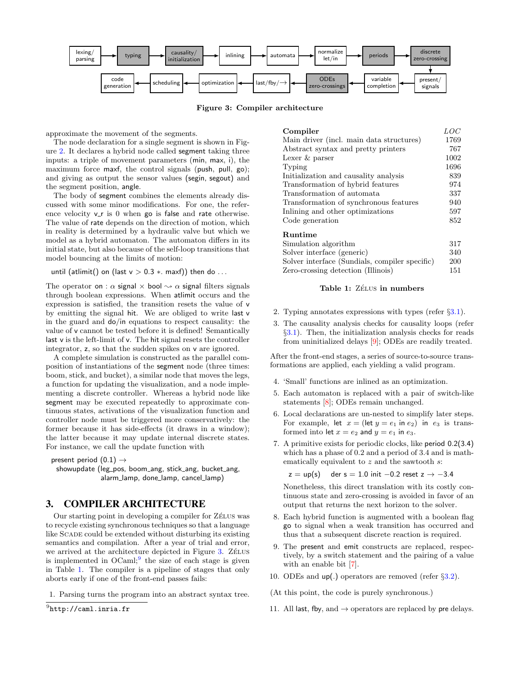

<span id="page-4-0"></span>Figure 3: Compiler architecture

approximate the movement of the segments.

The node declaration for a single segment is shown in Figure [2.](#page-3-2) It declares a hybrid node called segment taking three inputs: a triple of movement parameters (min, max, i), the maximum force maxf, the control signals (push, pull, go); and giving as output the sensor values (segin, segout) and the segment position, angle.

The body of segment combines the elements already discussed with some minor modifications. For one, the reference velocity  $v_r$  is 0 when go is false and rate otherwise. The value of rate depends on the direction of motion, which in reality is determined by a hydraulic valve but which we model as a hybrid automaton. The automaton differs in its initial state, but also because of the self-loop transitions that model bouncing at the limits of motion:

until (atlimit() on (last  $v > 0.3$  \*. maxf)) then do ...

The operator on :  $\alpha$  signal  $\times$  bool  $\sim \alpha$  signal filters signals through boolean expressions. When atlimit occurs and the expression is satisfied, the transition resets the value of v by emitting the signal hit. We are obliged to write last v in the guard and do/in equations to respect causality: the value of v cannot be tested before it is defined! Semantically last v is the left-limit of v. The hit signal resets the controller integrator, z, so that the sudden spikes on v are ignored.

A complete simulation is constructed as the parallel composition of instantiations of the segment node (three times: boom, stick, and bucket), a similar node that moves the legs, a function for updating the visualization, and a node implementing a discrete controller. Whereas a hybrid node like segment may be executed repeatedly to approximate continuous states, activations of the visualization function and controller node must be triggered more conservatively: the former because it has side-effects (it draws in a window); the latter because it may update internal discrete states. For instance, we call the update function with

present period  $(0.1) \rightarrow$ 

showupdate (leg\_pos, boom\_ang, stick\_ang, bucket\_ang, alarm\_lamp, done\_lamp, cancel\_lamp)

## 3. COMPILER ARCHITECTURE

Our starting point in developing a compiler for ZÉLUS was to recycle existing synchronous techniques so that a language like SCADE could be extended without disturbing its existing semantics and compilation. After a year of trial and error, we arrived at the architecture depicted in Figure  $3.$  ZELUS is implemented in OCaml;<sup>[9](#page-4-1)</sup> the size of each stage is given in Table [1.](#page-4-2) The compiler is a pipeline of stages that only aborts early if one of the front-end passes fails:

| Compiler | LOC |
|----------|-----|
|----------|-----|

| Main driver (incl. main data structures)       | 1769 |
|------------------------------------------------|------|
| Abstract syntax and pretty printers            | 767  |
| Lexer $\&$ parser                              | 1002 |
| Typing                                         | 1696 |
| Initialization and causality analysis          | 839  |
| Transformation of hybrid features              | 974  |
| Transformation of automata                     | 337  |
| Transformation of synchronous features         | 940  |
| Inlining and other optimizations               | 597  |
| Code generation                                | 852  |
| <b>Runtime</b>                                 |      |
| Simulation algorithm                           | 317  |
| Solver interface (generic)                     | 340  |
| Solver interface (Sundials, compiler specific) | 200  |
| Zero-crossing detection (Illinois)             | 151  |

#### <span id="page-4-2"></span>Table 1: ZÉLUS in numbers

- 2. Typing annotates expressions with types (refer  $\S 3.1$ ).
- 3. The causality analysis checks for causality loops (refer §[3.1\)](#page-5-1). Then, the initialization analysis checks for reads from uninitialized delays [\[9\]](#page-6-12); ODEs are readily treated.

After the front-end stages, a series of source-to-source transformations are applied, each yielding a valid program.

- 4. 'Small' functions are inlined as an optimization.
- 5. Each automaton is replaced with a pair of switch-like statements [\[8\]](#page-6-11); ODEs remain unchanged.
- 6. Local declarations are un-nested to simplify later steps. For example, let  $x = (\text{let } y = e_1 \text{ in } e_2)$  in  $e_3$  is transformed into let  $x = e_2$  and  $y = e_1$  in  $e_3$ .
- 7. A primitive exists for periodic clocks, like period 0.2(3.4) which has a phase of 0.2 and a period of 3.4 and is mathematically equivalent to  $z$  and the sawtooth  $s$ :

 $z = \text{up}(s)$  der s = 1.0 init −0.2 reset  $z \rightarrow -3.4$ 

Nonetheless, this direct translation with its costly continuous state and zero-crossing is avoided in favor of an output that returns the next horizon to the solver.

- 8. Each hybrid function is augmented with a boolean flag go to signal when a weak transition has occurred and thus that a subsequent discrete reaction is required.
- 9. The present and emit constructs are replaced, respectively, by a switch statement and the pairing of a value with an enable bit [\[7\]](#page-6-13).
- 10. ODEs and up(.) operators are removed (refer §[3.2\)](#page-5-0).
- (At this point, the code is purely synchronous.)
- 11. All last, fby, and  $\rightarrow$  operators are replaced by pre delays.

<sup>1.</sup> Parsing turns the program into an abstract syntax tree.

<span id="page-4-1"></span> $^{9}$ <http://caml.inria.fr>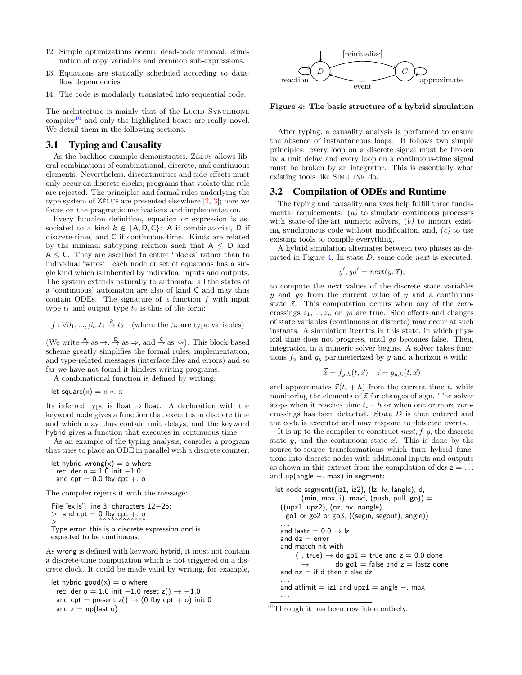- 12. Simple optimizations occur: dead-code removal, elimination of copy variables and common sub-expressions.
- 13. Equations are statically scheduled according to dataflow dependencies.
- 14. The code is modularly translated into sequential code.

The architecture is mainly that of the LUCID SYNCHRONE  $complier<sup>10</sup>$  $complier<sup>10</sup>$  $complier<sup>10</sup>$  and only the highlighted boxes are really novel. We detail them in the following sections.

#### <span id="page-5-1"></span>3.1 Typing and Causality

As the backhoe example demonstrates, ZÉLUS allows liberal combinations of combinational, discrete, and continuous elements. Nevertheless, discontinuities and side-effects must only occur on discrete clocks; programs that violate this rule are rejected. The principles and formal rules underlying the type system of Z $\acute{E}$ LUS are presented elsewhere [\[2,](#page-6-4) [3\]](#page-6-5); here we focus on the pragmatic motivations and implementation.

Every function definition, equation or expression is associated to a kind  $k \in \{A, D, C\}$ : A if combinatorial, D if discrete-time, and C if continuous-time. Kinds are related by the minimal subtyping relation such that  $A \leq D$  and  $A \leq C$ . They are ascribed to entire 'blocks' rather than to individual 'wires'—each node or set of equations has a single kind which is inherited by individual inputs and outputs. The system extends naturally to automata: all the states of a 'continuous' automaton are also of kind C and may thus contain ODEs. The signature of a function  $f$  with input type  $t_1$  and output type  $t_2$  is thus of the form:

$$
f: \forall \beta_1, ..., \beta_n \cdot t_1 \stackrel{k}{\rightarrow} t_2
$$
 (where the  $\beta_i$  are type variables)

(We write  $\stackrel{A}{\rightarrow}$  as  $\rightarrow$ ,  $\stackrel{D}{\rightarrow}$  as  $\rightarrow$ , and  $\stackrel{C}{\rightarrow}$  as  $\rightsquigarrow$ ). This block-based scheme greatly simplifies the formal rules, implementation, and type-related messages (interface files and errors) and so far we have not found it hinders writing programs.

A combinational function is defined by writing:

let square $(x) = x \cdot x$ .

Its inferred type is float  $\rightarrow$  float. A declaration with the keyword node gives a function that executes in discrete time and which may thus contain unit delays, and the keyword hybrid gives a function that executes in continuous time.

As an example of the typing analysis, consider a program that tries to place an ODE in parallel with a discrete counter:

let hybrid wrong $(x) = o$  where rec der  $o = 1.0$  init  $-1.0$ and  $\text{cpt} = 0.0$  fby  $\text{cpt} + \text{.}$ 

The compiler rejects it with the message:

File "ex.ls", line 3, characters 12−25:  $>$  and  $\text{cpt} = 0$  fby  $\text{cpt} + \text{.}$ > ˆˆˆˆˆˆˆˆˆˆˆˆ Type error: this is a discrete expression and is expected to be continuous.

As wrong is defined with keyword hybrid, it must not contain a discrete-time computation which is not triggered on a discrete clock. It could be made valid by writing, for example,

```
let hybrid good(x) = o where
 rec der o = 1.0 init -1.0 reset z() \rightarrow -1.0and cpt = present z() \rightarrow (0 fby cpt + o) init 0
 and z = up(last o)
```


<span id="page-5-3"></span>Figure 4: The basic structure of a hybrid simulation

After typing, a causality analysis is performed to ensure the absence of instantaneous loops. It follows two simple principles: every loop on a discrete signal must be broken by a unit delay and every loop on a continuous-time signal must be broken by an integrator. This is essentially what existing tools like Simulink do.

## <span id="page-5-0"></span>3.2 Compilation of ODEs and Runtime

The typing and causality analyzes help fulfill three fundamental requirements:  $(a)$  to simulate continuous processes with state-of-the-art numeric solvers,  $(b)$  to import existing synchronous code without modification, and,  $(c)$  to use existing tools to compile everything.

A hybrid simulation alternates between two phases as de-picted in Figure [4.](#page-5-3) In state  $D$ , some code next is executed,

$$
y', go' = next(y, \vec{x}),
$$

to compute the next values of the discrete state variables  $y$  and  $q\sigma$  from the current value of  $y$  and a continuous state  $\vec{x}$ . This computation occurs when any of the zerocrossings  $z_1, ..., z_n$  or go are true. Side effects and changes of state variables (continuous or discrete) may occur at such instants. A simulation iterates in this state, in which physical time does not progress, until go becomes false. Then, integration in a numeric solver begins. A solver takes functions  $f_y$  and  $g_y$  parameterized by y and a horizon h with:

$$
\vec{\dot{x}} = f_{y,h}(t, \vec{x}) \quad \vec{z} = g_{y,h}(t, \vec{x})
$$

and approximates  $\vec{x}(t_i + h)$  from the current time  $t_i$  while monitoring the elements of  $\vec{z}$  for changes of sign. The solver stops when it reaches time  $t_i + h$  or when one or more zerocrossings has been detected. State D is then entered and the code is executed and may respond to detected events.

It is up to the compiler to construct next,  $f$ ,  $g$ , the discrete state y, and the continuous state  $\vec{x}$ . This is done by the source-to-source transformations which turn hybrid functions into discrete nodes with additional inputs and outputs as shown in this extract from the compilation of  $\text{der } z = \dots$ and up(angle  $-$ . max) in segment:

```
let node segment((iz1, iz2), (lz, lv, langle), d,
        (min, max, i), maxf, (push, pull, g_0)) =
 ((upz1, upz2), (nz, nv, nangle),
   go1 or go2 or go3, ((segin, segout), angle))
  . . .
 and lastz = 0.0 \rightarrow lz
 and dz = errorand match hit with
      (-, true) \rightarrow do go1 = true and z = 0.0 done_-\rightarrow do go1 = false and z = lastz done
 and nz = if d then z else dz
  . . .
 and atlimit = iz1 and upz1 = angle -. max
 . . .
```
<span id="page-5-2"></span><sup>&</sup>lt;sup>10</sup>Through it has been rewritten entirely.